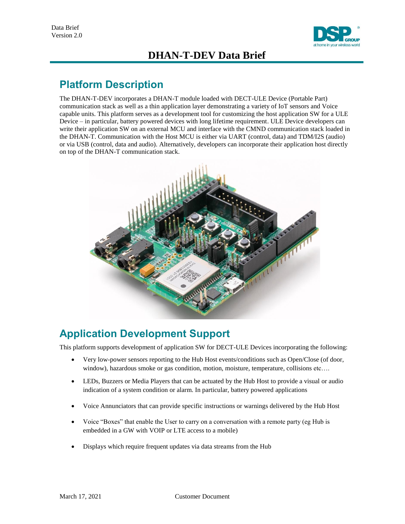

## **DHAN-T-DEV Data Brief**

## **Platform Description**

The DHAN-T-DEV incorporates a DHAN-T module loaded with DECT-ULE Device (Portable Part) communication stack as well as a thin application layer demonstrating a variety of IoT sensors and Voice capable units. This platform serves as a development tool for customizing the host application SW for a ULE Device – in particular, battery powered devices with long lifetime requirement. ULE Device developers can write their application SW on an external MCU and interface with the CMND communication stack loaded in the DHAN-T. Communication with the Host MCU is either via UART (control, data) and TDM/I2S (audio) or via USB (control, data and audio). Alternatively, developers can incorporate their application host directly on top of the DHAN-T communication stack.



# **Application Development Support**

This platform supports development of application SW for DECT-ULE Devices incorporating the following:

- Very low-power sensors reporting to the Hub Host events/conditions such as Open/Close (of door, window), hazardous smoke or gas condition, motion, moisture, temperature, collisions etc....
- LEDs, Buzzers or Media Players that can be actuated by the Hub Host to provide a visual or audio indication of a system condition or alarm. In particular, battery powered applications
- Voice Annunciators that can provide specific instructions or warnings delivered by the Hub Host
- Voice "Boxes" that enable the User to carry on a conversation with a remote party (eg Hub is embedded in a GW with VOIP or LTE access to a mobile)
- Displays which require frequent updates via data streams from the Hub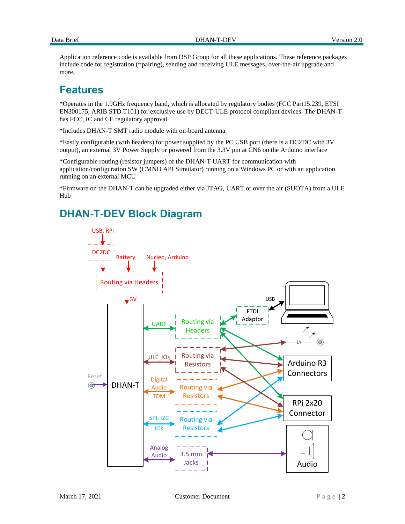Application reference code is available from DSP Group for all these applications. These reference packages include code for registration (=pairing), sending and receiving ULE messages, over-the-air upgrade and more.

#### **Features**

\*Operates in the 1.9GHz frequency band, which is allocated by regulatory bodies (FCC Part15.239, ETSI EN300175, ARIB STD T101) for exclusive use by DECT-ULE protocol compliant devices. The DHAN-T has FCC, IC and CE regulatory approval

\*Includes DHAN-T SMT radio module with on-board antenna

\*Easily configurable (with headers) for power supplied by the PC USB port (there is a DC2DC with 3V output), an external 3V Power Supply or powered from the 3.3V pin at CN6 on the Arduino interface

\*Configurable routing (resistor jumpers) of the DHAN-T UART for communication with application/configuration SW (CMND API Simulator) running on a Windows PC or with an application running on an external MCU

\*Firmware on the DHAN-T can be upgraded either via JTAG, UART or over the air (SUOTA) from a ULE Hub

### **DHAN-T-DEV Block Diagram**

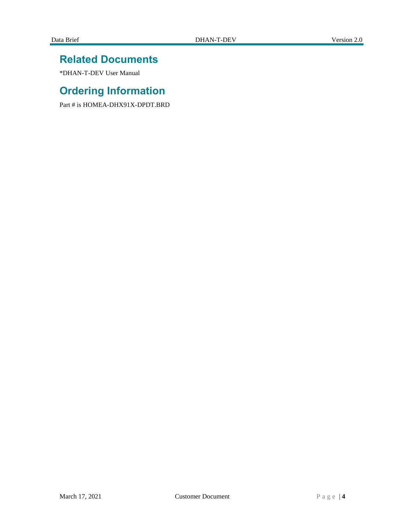### **Related Documents**

\*DHAN-T-DEV User Manual

# **Ordering Information**

Part # is HOMEA-DHX91X-DPDT.BRD